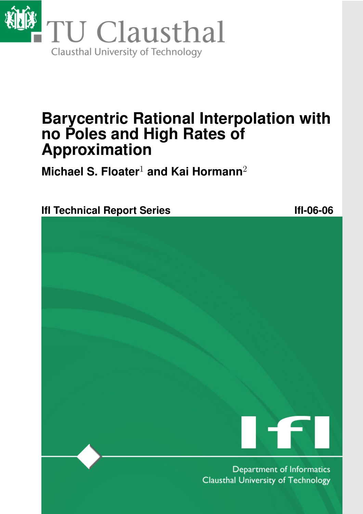

# **Barycentric Rational Interpolation with no Poles and High Rates of Approximation**

**Michael S. Floater**<sup>1</sup> **and Kai Hormann**<sup>2</sup>

**IfI Technical Report Series IfI-06-06** 



Department of Informatics **Clausthal University of Technology**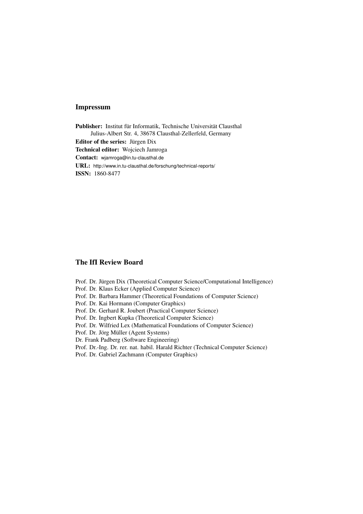#### Impressum

Publisher: Institut für Informatik, Technische Universität Clausthal Julius-Albert Str. 4, 38678 Clausthal-Zellerfeld, Germany Editor of the series: Jürgen Dix Technical editor: Wojciech Jamroga Contact: wjamroga@in.tu-clausthal.de URL: http://www.in.tu-clausthal.de/forschung/technical-reports/ ISSN: 1860-8477

#### The IfI Review Board

Prof. Dr. Jürgen Dix (Theoretical Computer Science/Computational Intelligence)

- Prof. Dr. Klaus Ecker (Applied Computer Science)
- Prof. Dr. Barbara Hammer (Theoretical Foundations of Computer Science)
- Prof. Dr. Kai Hormann (Computer Graphics)
- Prof. Dr. Gerhard R. Joubert (Practical Computer Science)
- Prof. Dr. Ingbert Kupka (Theoretical Computer Science)
- Prof. Dr. Wilfried Lex (Mathematical Foundations of Computer Science)
- Prof. Dr. Jörg Müller (Agent Systems)

Dr. Frank Padberg (Software Engineering)

- Prof. Dr.-Ing. Dr. rer. nat. habil. Harald Richter (Technical Computer Science)
- Prof. Dr. Gabriel Zachmann (Computer Graphics)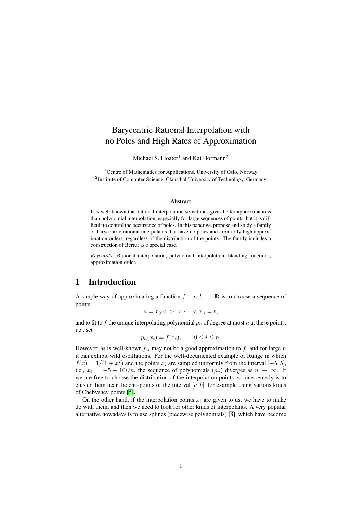# Barycentric Rational Interpolation with no Poles and High Rates of Approximation

Michael S. Floater<sup>1</sup> and Kai Hormann<sup>2</sup>

<sup>1</sup> Centre of Mathematics for Applications, University of Oslo, Norway <sup>2</sup> Institute of Computer Science, Clausthal University of Technology, Germany

#### Abstract

It is well known that rational interpolation sometimes gives better approximations than polynomial interpolation, especially for large sequences of points, but it is difficult to control the occurrence of poles. In this paper we propose and study a family of barycentric rational interpolants that have no poles and arbitrarily high approximation orders, regardless of the distribution of the points. The family includes a construction of Berrut as a special case.

*Keywords:* Rational interpolation, polynomial interpolation, blending functions, approximation order.

## 1 Introduction

A simple way of approximating a function  $f : [a, b] \to \mathbb{R}$  is to choose a sequence of points

$$
a = x_0 < x_1 < \cdots < x_n = b,
$$

and to fit to f the unique interpolating polynomial  $p_n$  of degree at most n at these points, i.e., set

$$
p_n(x_i) = f(x_i), \qquad 0 \le i \le n.
$$

However, as is well-known  $p_n$  may not be a good approximation to f, and for large n it can exhibit wild oscillations. For the well-documented example of Runge in which  $f(x) = 1/(1 + x^2)$  and the points  $x_i$  are sampled uniformly from the interval [-5,5], i.e.,  $x_i = -5 + 10i/n$ , the sequence of polynomials  $(p_n)$  diverges as  $n \to \infty$ . If we are free to choose the distribution of the interpolation points  $x_i$ , one remedy is to cluster them near the end-points of the interval  $[a, b]$ , for example using various kinds of Chebyshev points [\[5\]](#page-15-0).

On the other hand, if the interpolation points  $x_i$  are given to us, we have to make do with them, and then we need to look for other kinds of interpolants. A very popular alternative nowadays is to use splines (piecewise polynomials) [\[8\]](#page-16-0), which have become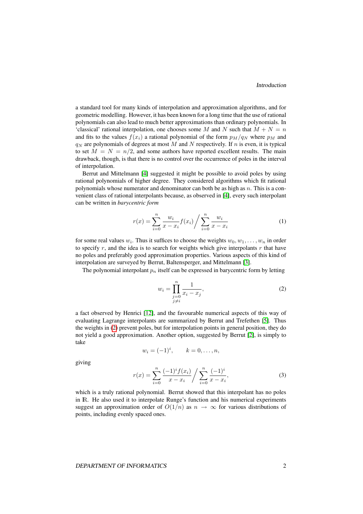a standard tool for many kinds of interpolation and approximation algorithms, and for geometric modelling. However, it has been known for a long time that the use of rational polynomials can also lead to much better approximations than ordinary polynomials. In 'classical' rational interpolation, one chooses some M and N such that  $M + N = n$ and fits to the values  $f(x_i)$  a rational polynomial of the form  $p_M/q_N$  where  $p_M$  and  $q_N$  are polynomials of degrees at most M and N respectively. If n is even, it is typical to set  $M = N = n/2$ , and some authors have reported excellent results. The main drawback, though, is that there is no control over the occurrence of poles in the interval of interpolation.

Berrut and Mittelmann [\[4\]](#page-15-1) suggested it might be possible to avoid poles by using rational polynomials of higher degree. They considered algorithms which fit rational polynomials whose numerator and denominator can both be as high as  $n$ . This is a convenient class of rational interpolants because, as observed in [\[4\]](#page-15-1), every such interpolant can be written in *barycentric form*

<span id="page-3-2"></span>
$$
r(x) = \sum_{i=0}^{n} \frac{w_i}{x - x_i} f(x_i) / \sum_{i=0}^{n} \frac{w_i}{x - x_i}
$$
 (1)

for some real values  $w_i$ . Thus it suffices to choose the weights  $w_0, w_1, \ldots, w_n$  in order to specify r, and the idea is to search for weights which give interpolants r that have no poles and preferably good approximation properties. Various aspects of this kind of interpolation are surveyed by Berrut, Baltensperger, and Mittelmann [\[3\]](#page-15-2).

The polynomial interpolant  $p_n$  itself can be expressed in barycentric form by letting

<span id="page-3-0"></span>
$$
w_i = \prod_{\substack{j=0 \ j \neq i}}^n \frac{1}{x_i - x_j},\tag{2}
$$

a fact observed by Henrici [\[12\]](#page-16-1), and the favourable numerical aspects of this way of evaluating Lagrange interpolants are summarized by Berrut and Trefethen [\[5\]](#page-15-0). Thus the weights in [\(2\)](#page-3-0) prevent poles, but for interpolation points in general position, they do not yield a good approximation. Another option, suggested by Berrut [\[2\]](#page-15-3), is simply to take

$$
w_i = (-1)^i, \qquad k = 0, \ldots, n,
$$

<span id="page-3-1"></span>giving

$$
r(x) = \sum_{i=0}^{n} \frac{(-1)^{i} f(x_{i})}{x - x_{i}} / \sum_{i=0}^{n} \frac{(-1)^{i}}{x - x_{i}},
$$
\n(3)

which is a truly rational polynomial. Berrut showed that this interpolant has no poles in lR. He also used it to interpolate Runge's function and his numerical experiments suggest an approximation order of  $O(1/n)$  as  $n \to \infty$  for various distributions of points, including evenly spaced ones.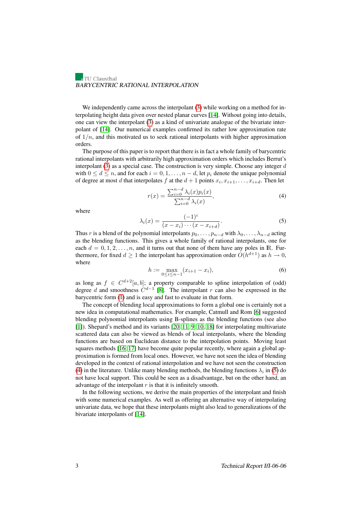We independently came across the interpolant [\(3\)](#page-3-1) while working on a method for interpolating height data given over nested planar curves [\[14\]](#page-16-2). Without going into details, one can view the interpolant [\(3\)](#page-3-1) as a kind of univariate analogue of the bivariate interpolant of [\[14\]](#page-16-2). Our numerical examples confirmed its rather low approximation rate of  $1/n$ , and this motivated us to seek rational interpolants with higher approximation orders.

The purpose of this paper is to report that there is in fact a whole family of barycentric rational interpolants with arbitrarily high approximation orders which includes Berrut's interpolant [\(3\)](#page-3-1) as a special case. The construction is very simple. Choose any integer  $d$ with  $0 \le d \le n$ , and for each  $i = 0, 1, \ldots, n - d$ , let  $p_i$  denote the unique polynomial of degree at most d that interpolates f at the  $d+1$  points  $x_i, x_{i+1}, \ldots, x_{i+d}$ . Then let

<span id="page-4-0"></span>
$$
r(x) = \frac{\sum_{i=0}^{n-d} \lambda_i(x) p_i(x)}{\sum_{i=0}^{n-d} \lambda_i(x)},
$$
\n(4)

<span id="page-4-1"></span>where

$$
\lambda_i(x) = \frac{(-1)^i}{(x - x_i) \cdots (x - x_{i+d})}.
$$
\n(5)

Thus r is a blend of the polynomial interpolants  $p_0, \ldots, p_{n-d}$  with  $\lambda_0, \ldots, \lambda_{n-d}$  acting as the blending functions. This gives a whole family of rational interpolants, one for each  $d = 0, 1, 2, \ldots, n$ , and it turns out that none of them have any poles in R. Furthermore, for fixed  $d \ge 1$  the interpolant has approximation order  $O(h^{d+1})$  as  $h \to 0$ , where

$$
h := \max_{0 \le i \le n-1} (x_{i+1} - x_i),\tag{6}
$$

<span id="page-4-2"></span>as long as  $f \in C^{d+2}[a, b]$ ; a property comparable to spline interpolation of (odd) degree d and smoothness  $C^{d-1}$  [\[8\]](#page-16-0). The interpolant r can also be expressed in the barycentric form [\(1\)](#page-3-2) and is easy and fast to evaluate in that form.

The concept of blending local approximations to form a global one is certainly not a new idea in computational mathematics. For example, Catmull and Rom [\[6\]](#page-16-3) suggested blending polynomial interpolants using B-splines as the blending functions (see also [\[1\]](#page-15-4)). Shepard's method and its variants [\[20,](#page-16-4) [11,](#page-16-5) [9,](#page-16-6) [10,](#page-16-7) [18\]](#page-16-8) for interpolating multivariate scattered data can also be viewed as blends of local interpolants, where the blending functions are based on Euclidean distance to the interpolation points. Moving least squares methods [\[16,](#page-16-9) [17\]](#page-16-10) have become quite popular recently, where again a global approximation is formed from local ones. However, we have not seen the idea of blending developed in the context of rational interpolation and we have not seen the construction [\(4\)](#page-4-0) in the literature. Unlike many blending methods, the blending functions  $\lambda_i$  in [\(5\)](#page-4-1) do not have local support. This could be seen as a disadvantage, but on the other hand, an advantage of the interpolant  $r$  is that it is infinitely smooth.

In the following sections, we derive the main properties of the interpolant and finish with some numerical examples. As well as offering an alternative way of interpolating univariate data, we hope that these interpolants might also lead to generalizations of the bivariate interpolants of [\[14\]](#page-16-2).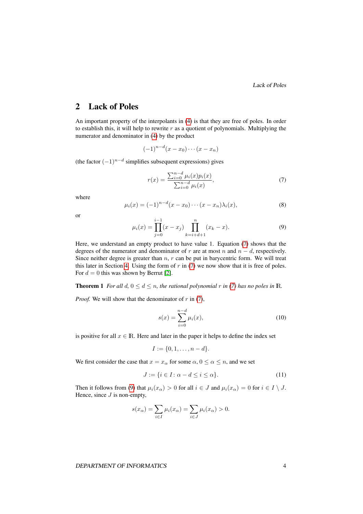Lack of Poles

## 2 Lack of Poles

An important property of the interpolants in [\(4\)](#page-4-0) is that they are free of poles. In order to establish this, it will help to rewrite  $r$  as a quotient of polynomials. Multiplying the numerator and denominator in [\(4\)](#page-4-0) by the product

 $(-1)^{n-d}(x-x_0)\cdots(x-x_n)$ 

(the factor  $(-1)^{n-d}$  simplifies subsequent expressions) gives

<span id="page-5-0"></span>
$$
r(x) = \frac{\sum_{i=0}^{n-d} \mu_i(x) p_i(x)}{\sum_{i=0}^{n-d} \mu_i(x)},
$$
\n(7)

<span id="page-5-3"></span>where

$$
\mu_i(x) = (-1)^{n-d}(x - x_0) \cdots (x - x_n) \lambda_i(x), \tag{8}
$$

<span id="page-5-1"></span>or

$$
\mu_i(x) = \prod_{j=0}^{i-1} (x - x_j) \prod_{k=i+d+1}^n (x_k - x).
$$
\n(9)

Here, we understand an empty product to have value 1. Equation [\(7\)](#page-5-0) shows that the degrees of the numerator and denominator of r are at most n and  $n - d$ , respectively. Since neither degree is greater than  $n$ ,  $r$  can be put in barycentric form. We will treat this later in Section [4.](#page-11-0) Using the form of  $r$  in [\(7\)](#page-5-0) we now show that it is free of poles. For  $d = 0$  this was shown by Berrut [\[2\]](#page-15-3).

#### <span id="page-5-4"></span>**Theorem 1** *For all*  $d$ ,  $0 \leq d \leq n$ *, the rational polynomial* r *in* [\(7\)](#page-5-0) *has no poles in* R.

*Proof.* We will show that the denominator of  $r$  in [\(7\)](#page-5-0),

$$
s(x) = \sum_{i=0}^{n-d} \mu_i(x),
$$
\n(10)

is positive for all  $x \in \mathbb{R}$ . Here and later in the paper it helps to define the index set

<span id="page-5-2"></span>
$$
I := \{0, 1, \dots, n - d\}.
$$

We first consider the case that  $x = x_\alpha$  for some  $\alpha, 0 \le \alpha \le n$ , and we set

$$
J := \{ i \in I : \alpha - d \le i \le \alpha \}. \tag{11}
$$

Then it follows from [\(9\)](#page-5-1) that  $\mu_i(x_\alpha) > 0$  for all  $i \in J$  and  $\mu_i(x_\alpha) = 0$  for  $i \in I \setminus J$ . Hence, since  $J$  is non-empty,

$$
s(x_{\alpha}) = \sum_{i \in I} \mu_i(x_{\alpha}) = \sum_{i \in J} \mu_i(x_{\alpha}) > 0.
$$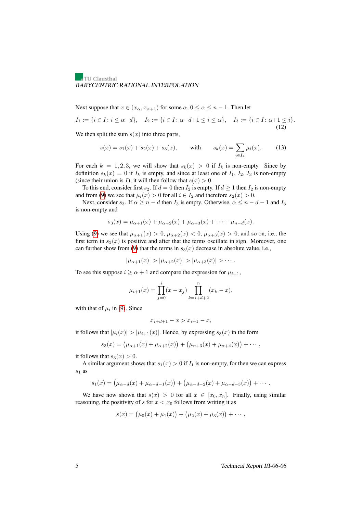Next suppose that  $x \in (x_\alpha, x_{\alpha+1})$  for some  $\alpha, 0 \le \alpha \le n-1$ . Then let

$$
I_1 := \{ i \in I : i \le \alpha - d \}, \quad I_2 := \{ i \in I : \alpha - d + 1 \le i \le \alpha \}, \quad I_3 := \{ i \in I : \alpha + 1 \le i \}.
$$
\n
$$
(12)
$$

We then split the sum  $s(x)$  into three parts,

<span id="page-6-1"></span><span id="page-6-0"></span>
$$
s(x) = s_1(x) + s_2(x) + s_3(x), \quad \text{with} \quad s_k(x) = \sum_{i \in I_k} \mu_i(x). \tag{13}
$$

For each  $k = 1, 2, 3$ , we will show that  $s_k(x) > 0$  if  $I_k$  is non-empty. Since by definition  $s_k(x) = 0$  if  $I_k$  is empty, and since at least one of  $I_1$ ,  $I_2$ ,  $I_3$  is non-empty (since their union is *I*), it will then follow that  $s(x) > 0$ .

To this end, consider first  $s_2$ . If  $d = 0$  then  $I_2$  is empty. If  $d \ge 1$  then  $I_2$  is non-empty and from [\(9\)](#page-5-1) we see that  $\mu_i(x) > 0$  for all  $i \in I_2$  and therefore  $s_2(x) > 0$ .

Next, consider  $s_3$ . If  $\alpha \ge n - d$  then  $I_3$  is empty. Otherwise,  $\alpha \le n - d - 1$  and  $I_3$ is non-empty and

$$
s_3(x) = \mu_{\alpha+1}(x) + \mu_{\alpha+2}(x) + \mu_{\alpha+3}(x) + \cdots + \mu_{n-d}(x).
$$

Using [\(9\)](#page-5-1) we see that  $\mu_{\alpha+1}(x) > 0$ ,  $\mu_{\alpha+2}(x) < 0$ ,  $\mu_{\alpha+3}(x) > 0$ , and so on, i.e., the first term in  $s_3(x)$  is positive and after that the terms oscillate in sign. Moreover, one can further show from [\(9\)](#page-5-1) that the terms in  $s_3(x)$  decrease in absolute value, i.e.,

$$
|\mu_{\alpha+1}(x)| > |\mu_{\alpha+2}(x)| > |\mu_{\alpha+3}(x)| > \cdots
$$

To see this suppose  $i \ge \alpha + 1$  and compare the expression for  $\mu_{i+1}$ ,

$$
\mu_{i+1}(x) = \prod_{j=0}^{i} (x - x_j) \prod_{k=i+d+2}^{n} (x_k - x),
$$

with that of  $\mu_i$  in [\(9\)](#page-5-1). Since

$$
x_{i+d+1} - x > x_{i+1} - x,
$$

it follows that  $|\mu_i(x)| > |\mu_{i+1}(x)|$ . Hence, by expressing  $s_3(x)$  in the form

$$
s_3(x) = (\mu_{\alpha+1}(x) + \mu_{\alpha+2}(x)) + (\mu_{\alpha+3}(x) + \mu_{\alpha+4}(x)) + \cdots,
$$

it follows that  $s_3(x) > 0$ .

A similar argument shows that  $s_1(x) > 0$  if  $I_1$  is non-empty, for then we can express  $s_1$  as

$$
s_1(x) = (\mu_{\alpha-d}(x) + \mu_{\alpha-d-1}(x)) + (\mu_{\alpha-d-2}(x) + \mu_{\alpha-d-3}(x)) + \cdots
$$

We have now shown that  $s(x) > 0$  for all  $x \in [x_0, x_n]$ . Finally, using similar reasoning, the positivity of s for  $x < x_0$  follows from writing it as

$$
s(x) = (\mu_0(x) + \mu_1(x)) + (\mu_2(x) + \mu_3(x)) + \cdots,
$$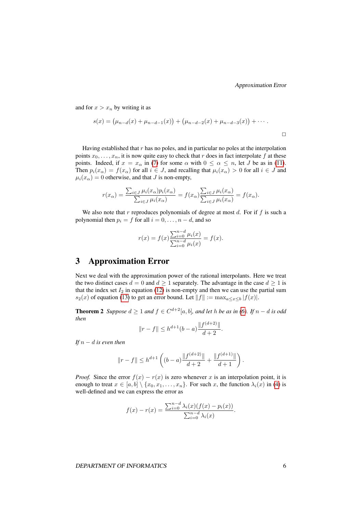and for  $x > x_n$  by writing it as

$$
s(x) = (\mu_{n-d}(x) + \mu_{n-d-1}(x)) + (\mu_{n-d-2}(x) + \mu_{n-d-3}(x)) + \cdots
$$

Having established that  $r$  has no poles, and in particular no poles at the interpolation points  $x_0, \ldots, x_n$ , it is now quite easy to check that r does in fact interpolate f at these points. Indeed, if  $x = x_\alpha$  in [\(7\)](#page-5-0) for some  $\alpha$  with  $0 \le \alpha \le n$ , let J be as in [\(11\)](#page-5-2). Then  $p_i(x_\alpha) = f(x_\alpha)$  for all  $i \in J$ , and recalling that  $\mu_i(x_\alpha) > 0$  for all  $i \in J$  and  $\mu_i(x_\alpha) = 0$  otherwise, and that J is non-empty,

$$
r(x_{\alpha}) = \frac{\sum_{i \in J} \mu_i(x_{\alpha}) p_i(x_{\alpha})}{\sum_{i \in J} \mu_i(x_{\alpha})} = f(x_{\alpha}) \frac{\sum_{i \in J} \mu_i(x_{\alpha})}{\sum_{i \in J} \mu_i(x_{\alpha})} = f(x_{\alpha}).
$$

We also note that r reproduces polynomials of degree at most  $d$ . For if  $f$  is such a polynomial then  $p_i = f$  for all  $i = 0, \ldots, n - d$ , and so

$$
r(x) = f(x) \frac{\sum_{i=0}^{n-d} \mu_i(x)}{\sum_{i=0}^{n-d} \mu_i(x)} = f(x).
$$

## 3 Approximation Error

Next we deal with the approximation power of the rational interpolants. Here we treat the two distinct cases  $d = 0$  and  $d \ge 1$  separately. The advantage in the case  $d \ge 1$  is that the index set  $I_2$  in equation [\(12\)](#page-6-0) is non-empty and then we can use the partial sum  $s_2(x)$  of equation [\(13\)](#page-6-1) to get an error bound. Let  $||f|| := \max_{a \le x \le b} |f(x)|$ .

<span id="page-7-0"></span>**Theorem 2** *Suppose*  $d \ge 1$  *and*  $f \in C^{d+2}[a, b]$ *, and let h be as in* [\(6\)](#page-4-2)*.* If *n* − *d is odd then*

$$
||r - f|| \le h^{d+1}(b - a) \frac{||f^{(d+2)}||}{d+2}.
$$

*If*  $n − d$  *is even then* 

$$
||r - f|| \le h^{d+1} \left( (b - a) \frac{||f^{(d+2)}||}{d+2} + \frac{||f^{(d+1)}||}{d+1} \right).
$$

*Proof.* Since the error  $f(x) - r(x)$  is zero whenever x is an interpolation point, it is enough to treat  $x \in [a, b] \setminus \{x_0, x_1, \ldots, x_n\}$ . For such x, the function  $\lambda_i(x)$  in [\(4\)](#page-4-0) is well-defined and we can express the error as

$$
f(x) - r(x) = \frac{\sum_{i=0}^{n-d} \lambda_i(x) (f(x) - p_i(x))}{\sum_{i=0}^{n-d} \lambda_i(x)}.
$$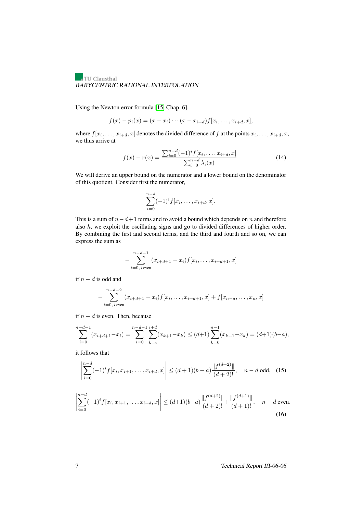Using the Newton error formula [\[15,](#page-16-11) Chap. 6],

$$
f(x) - p_i(x) = (x - x_i) \cdots (x - x_{i+d}) f[x_i, \ldots, x_{i+d}, x],
$$

where  $f[x_i, \ldots, x_{i+d}, x]$  denotes the divided difference of f at the points  $x_i, \ldots, x_{i+d}, x$ , we thus arrive at

<span id="page-8-0"></span>
$$
f(x) - r(x) = \frac{\sum_{i=0}^{n-d} (-1)^{i} f[x_i, \dots, x_{i+d}, x]}{\sum_{i=0}^{n-d} \lambda_i(x)}.
$$
 (14)

We will derive an upper bound on the numerator and a lower bound on the denominator of this quotient. Consider first the numerator,

$$
\sum_{i=0}^{n-d} (-1)^{i} f[x_i, \dots, x_{i+d}, x].
$$

This is a sum of  $n-d+1$  terms and to avoid a bound which depends on n and therefore also  $h$ , we exploit the oscillating signs and go to divided differences of higher order. By combining the first and second terms, and the third and fourth and so on, we can express the sum as

$$
-\sum_{i=0, i \text{ even}}^{n-d-1} (x_{i+d+1}-x_i) f[x_i, \ldots, x_{i+d+1}, x]
$$

if  $n - d$  is odd and

$$
-\sum_{i=0, i \text{ even}}^{n-d-2} (x_{i+d+1}-x_i)f[x_i,\ldots,x_{i+d+1},x] + f[x_{n-d},\ldots,x_n,x]
$$

if  $n - d$  is even. Then, because

$$
\sum_{i=0}^{n-d-1} (x_{i+d+1} - x_i) = \sum_{i=0}^{n-d-1} \sum_{k=i}^{i+d} (x_{k+1} - x_k) \le (d+1) \sum_{k=0}^{n-1} (x_{k+1} - x_k) = (d+1)(b-a),
$$

it follows that

<span id="page-8-1"></span>
$$
\left| \sum_{i=0}^{n-d} (-1)^i f[x_i, x_{i+1}, \dots, x_{i+d}, x] \right| \le (d+1)(b-a) \frac{\| f^{(d+2)} \|}{(d+2)!}, \quad n-d \text{ odd}, \tag{15}
$$

<span id="page-8-2"></span>
$$
\left| \sum_{i=0}^{n-d} (-1)^i f[x_i, x_{i+1}, \dots, x_{i+d}, x] \right| \le (d+1)(b-a) \frac{\| f^{(d+2)} \|}{(d+2)!} + \frac{\| f^{(d+1)} \|}{(d+1)!}, \quad n-d \text{ even.}
$$
\n(16)

7 Technical Report IfI-06-06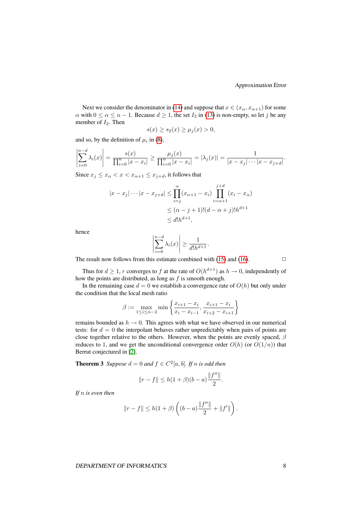Next we consider the denominator in [\(14\)](#page-8-0) and suppose that  $x \in (x_\alpha, x_{\alpha+1})$  for some  $\alpha$  with  $0 \le \alpha \le n - 1$ . Because  $d \ge 1$ , the set  $I_2$  in [\(13\)](#page-6-1) is non-empty, so let j be any member of  $I_2$ . Then

$$
s(x) \ge s_2(x) \ge \mu_j(x) > 0,
$$

and so, by the definition of  $\mu_i$  in [\(8\)](#page-5-3),

$$
\left|\sum_{i=0}^{n-d} \lambda_i(x)\right| = \frac{s(x)}{\prod_{i=0}^n |x-x_i|} \ge \frac{\mu_j(x)}{\prod_{i=0}^n |x-x_i|} = |\lambda_j(x)| = \frac{1}{|x-x_j|\cdots|x-x_{j+d}|}.
$$

Since  $x_j \leq x_\alpha < x < x_{\alpha+1} \leq x_{j+d}$ , it follows that

$$
|x - x_j| \cdots |x - x_{j+d}| \le \prod_{i=j}^{\alpha} (x_{\alpha+1} - x_i) \prod_{i=\alpha+1}^{j+d} (x_i - x_\alpha)
$$
  

$$
\le (\alpha - j + 1)!(d - \alpha + j)!h^{d+1}
$$
  

$$
\le d!h^{d+1},
$$

hence

$$
\left|\sum_{i=0}^{n-d} \lambda_i(x)\right| \ge \frac{1}{d!h^{d+1}}.
$$

The result now follows from this estimate combined with [\(15\)](#page-8-1) and [\(16\)](#page-8-2).  $\Box$ 

 $\bigg\}$  $\overline{\phantom{a}}$  $\overline{\phantom{a}}$  $\overline{\phantom{a}}$  $\vert$ 

Thus for  $d \geq 1$ , r converges to f at the rate of  $O(h^{d+1})$  as  $h \to 0$ , independently of how the points are distributed, as long as  $f$  is smooth enough.

In the remaining case  $d = 0$  we establish a convergence rate of  $O(h)$  but only under the condition that the local mesh ratio

$$
\beta := \max_{1 \le i \le n-2} \min \left\{ \frac{x_{i+1} - x_i}{x_i - x_{i-1}}, \frac{x_{i+1} - x_i}{x_{i+2} - x_{i+1}} \right\}
$$

remains bounded as  $h \to 0$ . This agrees with what we have observed in our numerical tests: for  $d = 0$  the interpolant behaves rather unpredictably when pairs of points are close together relative to the others. However, when the points are evenly spaced,  $\beta$ reduces to 1, and we get the unconditional convergence order  $O(h)$  (or  $O(1/n)$ ) that Berrut conjectured in [\[2\]](#page-15-3).

**Theorem 3** Suppose  $d = 0$  and  $f \in C^2[a, b]$ . If n is odd then

$$
||r - f|| \le h(1 + \beta)(b - a) \frac{||f''||}{2}.
$$

*If* n *is even then*

$$
||r - f|| \leq h(1 + \beta) \left( (b - a) \frac{||f''||}{2} + ||f'|| \right).
$$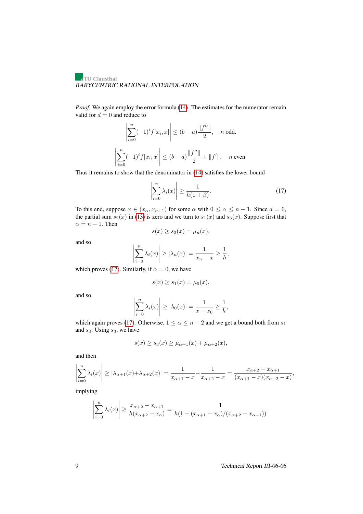*Proof.* We again employ the error formula [\(14\)](#page-8-0). The estimates for the numerator remain valid for  $d = 0$  and reduce to

$$
\left| \sum_{i=0}^{n} (-1)^{i} f[x_{i}, x] \right| \leq (b - a) \frac{\|f''\|}{2}, \quad n \text{ odd},
$$

$$
\left| \sum_{i=0}^{n} (-1)^{i} f[x_{i}, x] \right| \leq (b - a) \frac{\|f''\|}{2} + \|f'\|, \quad n \text{ even}.
$$

Thus it remains to show that the denominator in [\(14\)](#page-8-0) satisfies the lower bound

<span id="page-10-0"></span>
$$
\left|\sum_{i=0}^{n} \lambda_i(x)\right| \ge \frac{1}{h(1+\beta)}.\tag{17}
$$

To this end, suppose  $x \in (x_\alpha, x_{\alpha+1})$  for some  $\alpha$  with  $0 \le \alpha \le n-1$ . Since  $d = 0$ , the partial sum  $s_2(x)$  in [\(13\)](#page-6-1) is zero and we turn to  $s_1(x)$  and  $s_3(x)$ . Suppose first that  $\alpha = n - 1$ . Then

$$
s(x) \ge s_3(x) = \mu_n(x),
$$

and so

$$
\left|\sum_{i=0}^n \lambda_i(x)\right| \ge |\lambda_n(x)| = \frac{1}{x_n - x} \ge \frac{1}{h},
$$

which proves [\(17\)](#page-10-0). Similarly, if  $\alpha = 0$ , we have

$$
s(x) \ge s_1(x) = \mu_0(x),
$$

and so

$$
\left|\sum_{i=0}^n \lambda_i(x)\right| \ge |\lambda_0(x)| = \frac{1}{x-x_0} \ge \frac{1}{h},
$$

which again proves [\(17\)](#page-10-0). Otherwise,  $1 \le \alpha \le n-2$  and we get a bound both from  $s_1$ and  $s_3$ . Using  $s_3$ , we have

$$
s(x) \ge s_3(x) \ge \mu_{\alpha+1}(x) + \mu_{\alpha+2}(x),
$$

and then

$$
\left|\sum_{i=0}^{n} \lambda_i(x)\right| \ge |\lambda_{\alpha+1}(x) + \lambda_{\alpha+2}(x)| = \frac{1}{x_{\alpha+1} - x} - \frac{1}{x_{\alpha+2} - x} = \frac{x_{\alpha+2} - x_{\alpha+1}}{(x_{\alpha+1} - x)(x_{\alpha+2} - x)},
$$

implying

$$
\left|\sum_{i=0}^{n} \lambda_i(x)\right| \ge \frac{x_{\alpha+2} - x_{\alpha+1}}{h(x_{\alpha+2} - x_{\alpha})} = \frac{1}{h(1 + (x_{\alpha+1} - x_{\alpha})/(x_{\alpha+2} - x_{\alpha+1}))}.
$$

9 Technical Report IfI-06-06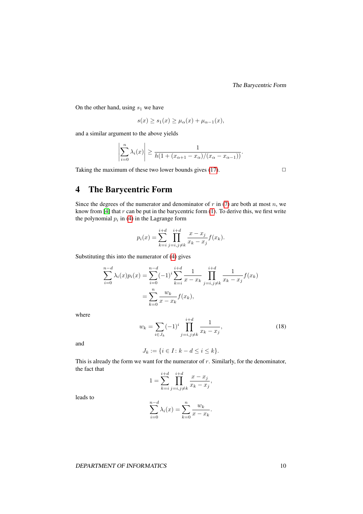The Barycentric Form

On the other hand, using  $s_1$  we have

$$
s(x) \ge s_1(x) \ge \mu_\alpha(x) + \mu_{\alpha-1}(x),
$$

and a similar argument to the above yields

$$
\left|\sum_{i=0}^n \lambda_i(x)\right| \ge \frac{1}{h(1 + (x_{\alpha+1} - x_\alpha)/(x_\alpha - x_{\alpha-1}))}.
$$

Taking the maximum of these two lower bounds gives [\(17\)](#page-10-0).  $\Box$ 

## <span id="page-11-0"></span>4 The Barycentric Form

Since the degrees of the numerator and denominator of  $r$  in [\(7\)](#page-5-0) are both at most  $n$ , we know from [\[4\]](#page-15-1) that  $r$  can be put in the barycentric form [\(1\)](#page-3-2). To derive this, we first write the polynomial  $p_i$  in [\(4\)](#page-4-0) in the Lagrange form

$$
p_i(x) = \sum_{k=i}^{i+d} \prod_{j=i,j\neq k}^{i+d} \frac{x - x_j}{x_k - x_j} f(x_k).
$$

Substituting this into the numerator of [\(4\)](#page-4-0) gives

$$
\sum_{i=0}^{n-d} \lambda_i(x) p_i(x) = \sum_{i=0}^{n-d} (-1)^i \sum_{k=i}^{i+d} \frac{1}{x - x_k} \prod_{j=i, j \neq k}^{i+d} \frac{1}{x_k - x_j} f(x_k)
$$

$$
= \sum_{k=0}^{n} \frac{w_k}{x - x_k} f(x_k),
$$

<span id="page-11-1"></span>where

$$
w_k = \sum_{i \in J_k} (-1)^i \prod_{j=i, j \neq k}^{i+d} \frac{1}{x_k - x_j},
$$
\n(18)

and

$$
J_k := \{ i \in I \colon k - d \le i \le k \}.
$$

This is already the form we want for the numerator of  $r$ . Similarly, for the denominator, the fact that

$$
1 = \sum_{k=i}^{i+d} \prod_{j=i,j\neq k}^{i+d} \frac{x - x_j}{x_k - x_j},
$$

leads to

$$
\sum_{i=0}^{n-d} \lambda_i(x) = \sum_{k=0}^{n} \frac{w_k}{x - x_k}.
$$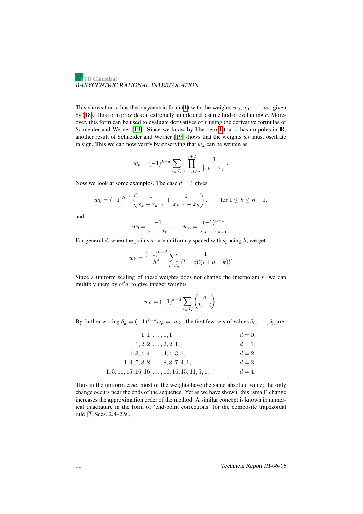This shows that r has the barycentric form [\(1\)](#page-3-2) with the weights  $w_0, w_1, \ldots, w_n$  given by [\(18\)](#page-11-1). This form provides an extremely simple and fast method of evaluating  $r$ . Moreover, this form can be used to evaluate derivatives of  $r$  using the derivative formulas of Schneider and Werner [\[19\]](#page-16-12). Since we know by Theorem [1](#page-5-4) that  $r$  has no poles in  $\mathbb{R}$ , another result of Schneider and Werner [\[19\]](#page-16-12) shows that the weights  $w_k$  must oscillate in sign. This we can now verify by observing that  $w_k$  can be written as

$$
w_k = (-1)^{k-d} \sum_{i \in J_k} \prod_{j=i, j \neq k}^{i+d} \frac{1}{|x_k - x_j|}.
$$

Now we look at some examples. The case  $d = 1$  gives

$$
w_k = (-1)^{k-1} \left( \frac{1}{x_k - x_{k-1}} + \frac{1}{x_{k+1} - x_k} \right)
$$
, for  $1 \le k \le n - 1$ ,

and

$$
w_0 = \frac{-1}{x_1 - x_0}, \qquad w_n = \frac{(-1)^{n-1}}{x_n - x_{n-1}}.
$$

For general d, when the points  $x_i$  are uniformly spaced with spacing h, we get

$$
w_k = \frac{(-1)^{k-d}}{h^d} \sum_{i \in J_k} \frac{1}{(k-i)!(i+d-k)!}.
$$

Since a uniform scaling of these weights does not change the interpolant  $r$ , we can multiply them by  $h^d d!$  to give integer weights

$$
w_k = (-1)^{k-d} \sum_{i \in J_k} \binom{d}{k-i}.
$$

By further writing  $\delta_k = (-1)^{k-d} w_k = |w_k|$ , the first few sets of values  $\delta_0, \ldots, \delta_n$  are

| $1, 1, \ldots, 1, 1,$                                 | $d=0.$  |
|-------------------------------------------------------|---------|
| $1, 2, 2, \ldots, 2, 2, 1,$                           | $d=1$ , |
| $1, 3, 4, 4, \ldots, 4, 4, 3, 1,$                     | $d=2$ , |
| $1, 4, 7, 8, 8, \ldots, 8, 8, 7, 4, 1,$               | $d=3$ , |
| $1, 5, 11, 15, 16, 16, \ldots, 16, 16, 15, 11, 5, 1,$ | $d=4.$  |

Thus in the uniform case, most of the weights have the same absolute value; the only change occurs near the ends of the sequence. Yet as we have shown, this 'small' change increases the approximation order of the method. A similar concept is known in numerical quadrature in the form of 'end-point corrections' for the composite trapezoidal rule [\[7,](#page-16-13) Secs. 2.8–2.9].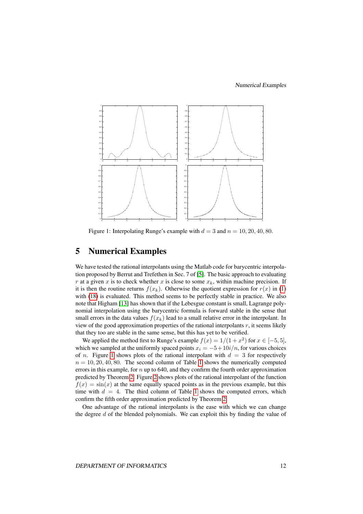Numerical Examples



<span id="page-13-0"></span>Figure 1: Interpolating Runge's example with  $d = 3$  and  $n = 10, 20, 40, 80$ .

## 5 Numerical Examples

We have tested the rational interpolants using the Matlab code for barycentric interpolation proposed by Berrut and Trefethen in Sec. 7 of [\[5\]](#page-15-0). The basic approach to evaluating r at a given x is to check whether x is close to some  $x_k$ , within machine precision. If it is then the routine returns  $f(x_k)$ . Otherwise the quotient expression for  $r(x)$  in [\(1\)](#page-3-2) with [\(18\)](#page-11-1) is evaluated. This method seems to be perfectly stable in practice. We also note that Higham [\[13\]](#page-16-14) has shown that if the Lebesgue constant is small, Lagrange polynomial interpolation using the barycentric formula is forward stable in the sense that small errors in the data values  $f(x_k)$  lead to a small relative error in the interpolant. In view of the good approximation properties of the rational interpolants r, it seems likely that they too are stable in the same sense, but this has yet to be verified.

We applied the method first to Runge's example  $f(x) = 1/(1 + x^2)$  for  $x \in [-5, 5]$ , which we sampled at the uniformly spaced points  $x_i = -5+10i/n$ , for various choices of *n*. Figure [1](#page-13-0) shows plots of the rational interpolant with  $d = 3$  for respectively  $n = 10, 20, 40, 80$  $n = 10, 20, 40, 80$  $n = 10, 20, 40, 80$ . The second column of Table 1 shows the numerically computed errors in this example, for  $n \text{ up to } 640$ , and they confirm the fourth order approximation predicted by Theorem [2.](#page-7-0) Figure [2](#page-14-1) shows plots of the rational interpolant of the function  $f(x) = \sin(x)$  at the same equally spaced points as in the previous example, but this time with  $d = 4$ . The third column of Table [1](#page-14-0) shows the computed errors, which confirm the fifth order approximation predicted by Theorem [2.](#page-7-0)

One advantage of the rational interpolants is the ease with which we can change the degree d of the blended polynomials. We can exploit this by finding the value of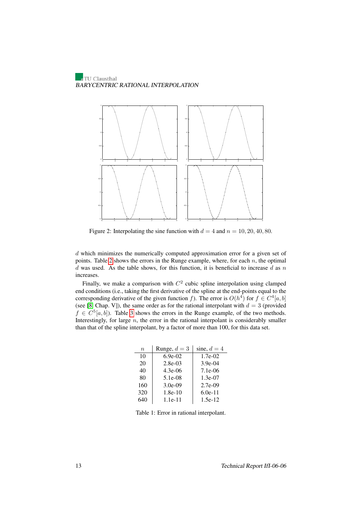

<span id="page-14-1"></span>Figure 2: Interpolating the sine function with  $d = 4$  and  $n = 10, 20, 40, 80$ .

d which minimizes the numerically computed approximation error for a given set of points. Table [2](#page-15-5) shows the errors in the Runge example, where, for each  $n$ , the optimal  $d$  was used. As the table shows, for this function, it is beneficial to increase  $d$  as  $n$ increases.

Finally, we make a comparison with  $C^2$  cubic spline interpolation using clamped end conditions (i.e., taking the first derivative of the spline at the end-points equal to the corresponding derivative of the given function f). The error is  $O(h^4)$  for  $f \in C^4[a, b]$ (see [\[8,](#page-16-0) Chap. V]), the same order as for the rational interpolant with  $d = 3$  (provided  $f \in C<sup>5</sup>[a, b]$ ). Table [3](#page-15-6) shows the errors in the Runge example, of the two methods. Interestingly, for large  $n$ , the error in the rational interpolant is considerably smaller than that of the spline interpolant, by a factor of more than 100, for this data set.

| $\boldsymbol{n}$ | Runge, $d = 3$ | sine, $d = 4$ |
|------------------|----------------|---------------|
| 10               | $6.9e-02$      | $1.7e-02$     |
| 20               | $2.8e-0.3$     | $3.9e-04$     |
| 40               | $4.3e-06$      | $7.1e-06$     |
| 80               | $5.1e-08$      | $1.3e-07$     |
| 160              | $3.0e-09$      | $2.7e-09$     |
| 320              | $1.8e-10$      | $6.0e-11$     |
| 640              | $1.1e-11$      | $1.5e-12$     |

<span id="page-14-0"></span>Table 1: Error in rational interpolant.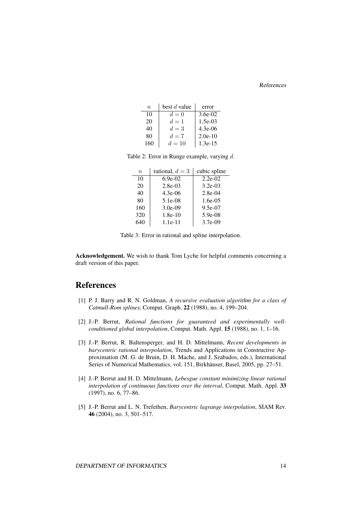#### References

| n   | best d value | error     |
|-----|--------------|-----------|
| 10  | $d=0$        | $3.6e-02$ |
| 20  | $d=1$        | $1.5e-03$ |
| 40  | $d=3$        | $4.3e-06$ |
| 80  | $d=7$        | $2.0e-10$ |
| 160 | $d=10$       | $1.3e-15$ |

<span id="page-15-5"></span>Table 2: Error in Runge example, varying d.

| n   | rational, $d=3$ | cubic spline |
|-----|-----------------|--------------|
| 10  | $6.9e-02$       | $2.2e-02$    |
| 20  | $2.8e-03$       | $3.2e-03$    |
| 40  | $4.3e-06$       | $2.8e-04$    |
| 80  | 5.1e-08         | $1.6e-0.5$   |
| 160 | $3.0e-09$       | 9.5e-07      |
| 320 | $1.8e-10$       | $5.9e-08$    |
| 640 | $1.1e-11$       | $3.7e-09$    |

<span id="page-15-6"></span>Table 3: Error in rational and spline interpolation.

Acknowledgement. We wish to thank Tom Lyche for helpful comments concerning a draft version of this paper.

## References

- <span id="page-15-4"></span>[1] P. J. Barry and R. N. Goldman, *A recursive evaluation algorithm for a class of Catmull-Rom splines*, Comput. Graph. 22 (1988), no. 4, 199–204.
- <span id="page-15-3"></span>[2] J.-P. Berrut, *Rational functions for guaranteed and experimentally wellconditioned global interpolation*, Comput. Math. Appl. 15 (1988), no. 1, 1–16.
- <span id="page-15-2"></span>[3] J.-P. Berrut, R. Baltensperger, and H. D. Mittelmann, *Recent developments in barycentric rational interpolation*, Trends and Applications in Constructive Approximation (M. G. de Bruin, D. H. Mache, and J. Szabados, eds.), International Series of Numerical Mathematics, vol. 151, Birkhäuser, Basel, 2005, pp. 27–51.
- <span id="page-15-1"></span>[4] J.-P. Berrut and H. D. Mittelmann, *Lebesgue constant minimizing linear rational interpolation of continuous functions over the interval*, Comput. Math. Appl. 33 (1997), no. 6, 77–86.
- <span id="page-15-0"></span>[5] J.-P. Berrut and L. N. Trefethen, *Barycentric lagrange interpolation*, SIAM Rev. 46 (2004), no. 3, 501–517.